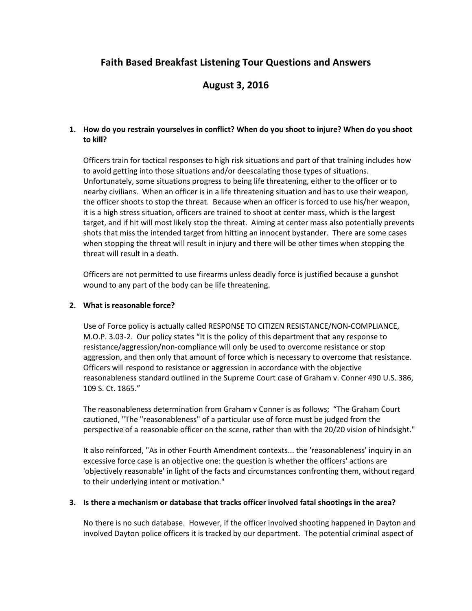# **Faith Based Breakfast Listening Tour Questions and Answers**

# **August 3, 2016**

### **1. How do you restrain yourselves in conflict? When do you shoot to injure? When do you shoot to kill?**

Officers train for tactical responses to high risk situations and part of that training includes how to avoid getting into those situations and/or deescalating those types of situations. Unfortunately, some situations progress to being life threatening, either to the officer or to nearby civilians. When an officer is in a life threatening situation and has to use their weapon, the officer shoots to stop the threat. Because when an officer is forced to use his/her weapon, it is a high stress situation, officers are trained to shoot at center mass, which is the largest target, and if hit will most likely stop the threat. Aiming at center mass also potentially prevents shots that miss the intended target from hitting an innocent bystander. There are some cases when stopping the threat will result in injury and there will be other times when stopping the threat will result in a death.

Officers are not permitted to use firearms unless deadly force is justified because a gunshot wound to any part of the body can be life threatening.

### **2. What is reasonable force?**

Use of Force policy is actually called RESPONSE TO CITIZEN RESISTANCE/NON-COMPLIANCE, M.O.P. 3.03-2. Our policy states "It is the policy of this department that any response to resistance/aggression/non-compliance will only be used to overcome resistance or stop aggression, and then only that amount of force which is necessary to overcome that resistance. Officers will respond to resistance or aggression in accordance with the objective reasonableness standard outlined in the Supreme Court case of Graham v. Conner 490 U.S. 386, 109 S. Ct. 1865."

The reasonableness determination from Graham v Conner is as follows; "The Graham Court cautioned, "The "reasonableness" of a particular use of force must be judged from the perspective of a reasonable officer on the scene, rather than with the 20/20 vision of hindsight."

It also reinforced, "As in other Fourth Amendment contexts... the 'reasonableness' inquiry in an excessive force case is an objective one: the question is whether the officers' actions are 'objectively reasonable' in light of the facts and circumstances confronting them, without regard to their underlying intent or motivation."

### **3. Is there a mechanism or database that tracks officer involved fatal shootings in the area?**

No there is no such database. However, if the officer involved shooting happened in Dayton and involved Dayton police officers it is tracked by our department. The potential criminal aspect of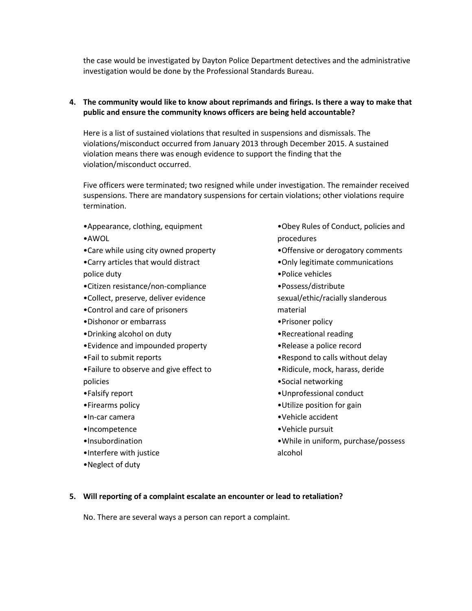the case would be investigated by Dayton Police Department detectives and the administrative investigation would be done by the Professional Standards Bureau.

### **4. The community would like to know about reprimands and firings. Is there a way to make that public and ensure the community knows officers are being held accountable?**

Here is a list of sustained violations that resulted in suspensions and dismissals. The violations/misconduct occurred from January 2013 through December 2015. A sustained violation means there was enough evidence to support the finding that the violation/misconduct occurred.

Five officers were terminated; two resigned while under investigation. The remainder received suspensions. There are mandatory suspensions for certain violations; other violations require termination.

- •Appearance, clothing, equipment
- •AWOL
- •Care while using city owned property
- •Carry articles that would distract police duty
- •Citizen resistance/non-compliance
- •Collect, preserve, deliver evidence
- •Control and care of prisoners
- •Dishonor or embarrass
- •Drinking alcohol on duty
- •Evidence and impounded property
- •Fail to submit reports
- •Failure to observe and give effect to policies
- •Falsify report
- •Firearms policy
- •In-car camera
- •Incompetence
- •Insubordination
- •Interfere with justice
- •Neglect of duty
- •Obey Rules of Conduct, policies and procedures
- •Offensive or derogatory comments
- •Only legitimate communications
- •Police vehicles
- •Possess/distribute
- sexual/ethic/racially slanderous material
- •Prisoner policy
- •Recreational reading
- •Release a police record
- •Respond to calls without delay
- •Ridicule, mock, harass, deride
- •Social networking
- •Unprofessional conduct
- •Utilize position for gain
- •Vehicle accident
- •Vehicle pursuit
- •While in uniform, purchase/possess alcohol

#### **5. Will reporting of a complaint escalate an encounter or lead to retaliation?**

No. There are several ways a person can report a complaint.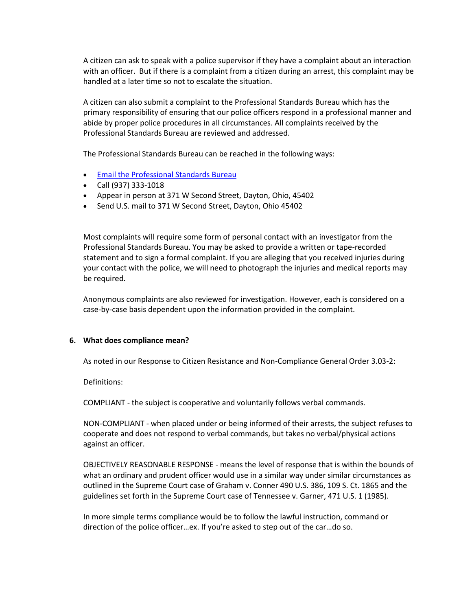A citizen can ask to speak with a police supervisor if they have a complaint about an interaction with an officer. But if there is a complaint from a citizen during an arrest, this complaint may be handled at a later time so not to escalate the situation.

A citizen can also submit a complaint to the Professional Standards Bureau which has the primary responsibility of ensuring that our police officers respond in a professional manner and abide by proper police procedures in all circumstances. All complaints received by the Professional Standards Bureau are reviewed and addressed.

The Professional Standards Bureau can be reached in the following ways:

- [Email the Professional Standards Bureau](mailto:DPD_Prof_Stand_Bur_DG@daytonohio.gov)
- Call (937) 333-1018
- Appear in person at 371 W Second Street, Dayton, Ohio, 45402
- Send U.S. mail to 371 W Second Street, Dayton, Ohio 45402

Most complaints will require some form of personal contact with an investigator from the Professional Standards Bureau. You may be asked to provide a written or tape-recorded statement and to sign a formal complaint. If you are alleging that you received injuries during your contact with the police, we will need to photograph the injuries and medical reports may be required.

Anonymous complaints are also reviewed for investigation. However, each is considered on a case-by-case basis dependent upon the information provided in the complaint.

#### **6. What does compliance mean?**

As noted in our Response to Citizen Resistance and Non-Compliance General Order 3.03-2:

Definitions:

COMPLIANT - the subject is cooperative and voluntarily follows verbal commands.

NON-COMPLIANT - when placed under or being informed of their arrests, the subject refuses to cooperate and does not respond to verbal commands, but takes no verbal/physical actions against an officer.

OBJECTIVELY REASONABLE RESPONSE - means the level of response that is within the bounds of what an ordinary and prudent officer would use in a similar way under similar circumstances as outlined in the Supreme Court case of Graham v. Conner 490 U.S. 386, 109 S. Ct. 1865 and the guidelines set forth in the Supreme Court case of Tennessee v. Garner, 471 U.S. 1 (1985).

In more simple terms compliance would be to follow the lawful instruction, command or direction of the police officer…ex. If you're asked to step out of the car…do so.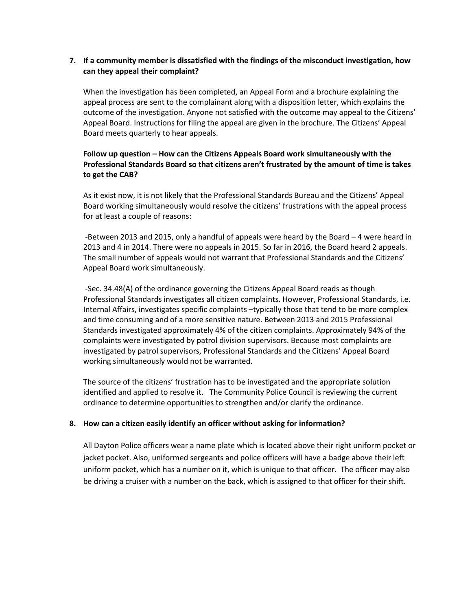### **7. If a community member is dissatisfied with the findings of the misconduct investigation, how can they appeal their complaint?**

When the investigation has been completed, an Appeal Form and a brochure explaining the appeal process are sent to the complainant along with a disposition letter, which explains the outcome of the investigation. Anyone not satisfied with the outcome may appeal to the Citizens' Appeal Board. Instructions for filing the appeal are given in the brochure. The Citizens' Appeal Board meets quarterly to hear appeals.

### **Follow up question – How can the Citizens Appeals Board work simultaneously with the Professional Standards Board so that citizens aren't frustrated by the amount of time is takes to get the CAB?**

As it exist now, it is not likely that the Professional Standards Bureau and the Citizens' Appeal Board working simultaneously would resolve the citizens' frustrations with the appeal process for at least a couple of reasons:

-Between 2013 and 2015, only a handful of appeals were heard by the Board – 4 were heard in 2013 and 4 in 2014. There were no appeals in 2015. So far in 2016, the Board heard 2 appeals. The small number of appeals would not warrant that Professional Standards and the Citizens' Appeal Board work simultaneously.

-Sec. 34.48(A) of the ordinance governing the Citizens Appeal Board reads as though Professional Standards investigates all citizen complaints. However, Professional Standards, i.e. Internal Affairs, investigates specific complaints –typically those that tend to be more complex and time consuming and of a more sensitive nature. Between 2013 and 2015 Professional Standards investigated approximately 4% of the citizen complaints. Approximately 94% of the complaints were investigated by patrol division supervisors. Because most complaints are investigated by patrol supervisors, Professional Standards and the Citizens' Appeal Board working simultaneously would not be warranted.

The source of the citizens' frustration has to be investigated and the appropriate solution identified and applied to resolve it. The Community Police Council is reviewing the current ordinance to determine opportunities to strengthen and/or clarify the ordinance.

### **8. How can a citizen easily identify an officer without asking for information?**

All Dayton Police officers wear a name plate which is located above their right uniform pocket or jacket pocket. Also, uniformed sergeants and police officers will have a badge above their left uniform pocket, which has a number on it, which is unique to that officer. The officer may also be driving a cruiser with a number on the back, which is assigned to that officer for their shift.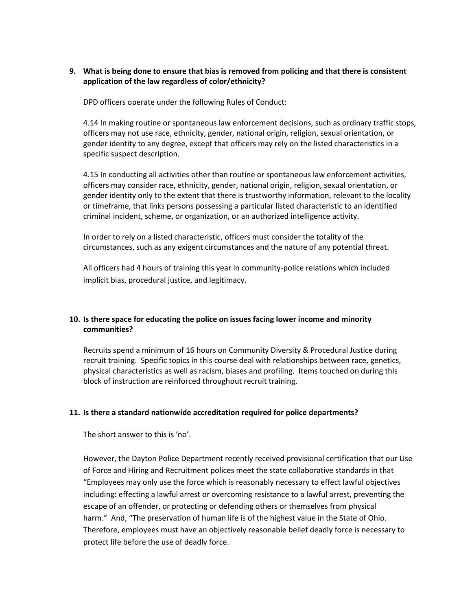### **9. What is being done to ensure that bias is removed from policing and that there is consistent application of the law regardless of color/ethnicity?**

DPD officers operate under the following Rules of Conduct:

4.14 In making routine or spontaneous law enforcement decisions, such as ordinary traffic stops, officers may not use race, ethnicity, gender, national origin, religion, sexual orientation, or gender identity to any degree, except that officers may rely on the listed characteristics in a specific suspect description.

4.15 In conducting all activities other than routine or spontaneous law enforcement activities, officers may consider race, ethnicity, gender, national origin, religion, sexual orientation, or gender identity only to the extent that there is trustworthy information, relevant to the locality or timeframe, that links persons possessing a particular listed characteristic to an identified criminal incident, scheme, or organization, or an authorized intelligence activity.

In order to rely on a listed characteristic, officers must consider the totality of the circumstances, such as any exigent circumstances and the nature of any potential threat.

All officers had 4 hours of training this year in community-police relations which included implicit bias, procedural justice, and legitimacy.

### **10. Is there space for educating the police on issues facing lower income and minority communities?**

Recruits spend a minimum of 16 hours on Community Diversity & Procedural Justice during recruit training. Specific topics in this course deal with relationships between race, genetics, physical characteristics as well as racism, biases and profiling. Items touched on during this block of instruction are reinforced throughout recruit training.

### **11. Is there a standard nationwide accreditation required for police departments?**

The short answer to this is 'no'.

However, the Dayton Police Department recently received provisional certification that our Use of Force and Hiring and Recruitment polices meet the state collaborative standards in that "Employees may only use the force which is reasonably necessary to effect lawful objectives including: effecting a lawful arrest or overcoming resistance to a lawful arrest, preventing the escape of an offender, or protecting or defending others or themselves from physical harm." And, "The preservation of human life is of the highest value in the State of Ohio. Therefore, employees must have an objectively reasonable belief deadly force is necessary to protect life before the use of deadly force.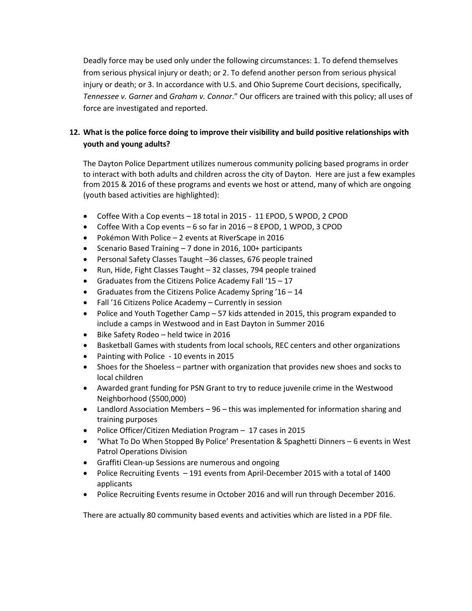Deadly force may be used only under the following circumstances: 1. To defend themselves from serious physical injury or death; or 2. To defend another person from serious physical injury or death; or 3. In accordance with U.S. and Ohio Supreme Court decisions, specifically, *Tennessee v. Garner* and *Graham v. Connor*." Our officers are trained with this policy; all uses of force are investigated and reported.

## **12. What is the police force doing to improve their visibility and build positive relationships with youth and young adults?**

The Dayton Police Department utilizes numerous community policing based programs in order to interact with both adults and children across the city of Dayton. Here are just a few examples from 2015 & 2016 of these programs and events we host or attend, many of which are ongoing (youth based activities are highlighted):

- Coffee With a Cop events 18 total in 2015 11 EPOD, 5 WPOD, 2 CPOD
- Coffee With a Cop events 6 so far in 2016 8 EPOD, 1 WPOD, 3 CPOD
- Pokémon With Police 2 events at RiverScape in 2016
- Scenario Based Training 7 done in 2016, 100+ participants
- Personal Safety Classes Taught –36 classes, 676 people trained
- Run, Hide, Fight Classes Taught 32 classes, 794 people trained
- Graduates from the Citizens Police Academy Fall '15 17
- Graduates from the Citizens Police Academy Spring '16 14
- Fall '16 Citizens Police Academy Currently in session
- Police and Youth Together Camp 57 kids attended in 2015, this program expanded to include a camps in Westwood and in East Dayton in Summer 2016
- Bike Safety Rodeo held twice in 2016
- Basketball Games with students from local schools, REC centers and other organizations
- Painting with Police 10 events in 2015
- Shoes for the Shoeless partner with organization that provides new shoes and socks to local children
- Awarded grant funding for PSN Grant to try to reduce juvenile crime in the Westwood Neighborhood (\$500,000)
- Landlord Association Members 96 this was implemented for information sharing and training purposes
- Police Officer/Citizen Mediation Program 17 cases in 2015
- 'What To Do When Stopped By Police' Presentation & Spaghetti Dinners 6 events in West Patrol Operations Division
- Graffiti Clean-up Sessions are numerous and ongoing
- Police Recruiting Events 191 events from April-December 2015 with a total of 1400 applicants
- Police Recruiting Events resume in October 2016 and will run through December 2016.

There are actually 80 community based events and activities which are listed in a PDF file.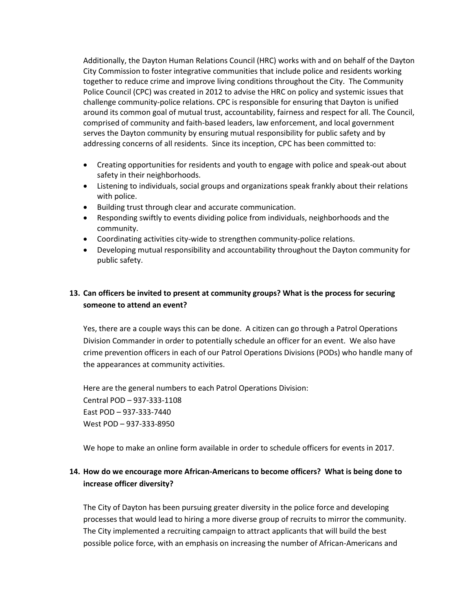Additionally, the Dayton Human Relations Council (HRC) works with and on behalf of the Dayton City Commission to foster integrative communities that include police and residents working together to reduce crime and improve living conditions throughout the City. The Community Police Council (CPC) was created in 2012 to advise the HRC on policy and systemic issues that challenge community-police relations. CPC is responsible for ensuring that Dayton is unified around its common goal of mutual trust, accountability, fairness and respect for all. The Council, comprised of community and faith-based leaders, law enforcement, and local government serves the Dayton community by ensuring mutual responsibility for public safety and by addressing concerns of all residents. Since its inception, CPC has been committed to:

- Creating opportunities for residents and youth to engage with police and speak-out about safety in their neighborhoods.
- Listening to individuals, social groups and organizations speak frankly about their relations with police.
- Building trust through clear and accurate communication.
- Responding swiftly to events dividing police from individuals, neighborhoods and the community.
- Coordinating activities city-wide to strengthen community-police relations.
- Developing mutual responsibility and accountability throughout the Dayton community for public safety.

# **13. Can officers be invited to present at community groups? What is the process for securing someone to attend an event?**

Yes, there are a couple ways this can be done. A citizen can go through a Patrol Operations Division Commander in order to potentially schedule an officer for an event. We also have crime prevention officers in each of our Patrol Operations Divisions (PODs) who handle many of the appearances at community activities.

Here are the general numbers to each Patrol Operations Division: Central POD – 937-333-1108 East POD – 937-333-7440 West POD – 937-333-8950

We hope to make an online form available in order to schedule officers for events in 2017.

## **14. How do we encourage more African-Americans to become officers? What is being done to increase officer diversity?**

The City of Dayton has been pursuing greater diversity in the police force and developing processes that would lead to hiring a more diverse group of recruits to mirror the community. The City implemented a recruiting campaign to attract applicants that will build the best possible police force, with an emphasis on increasing the number of African-Americans and